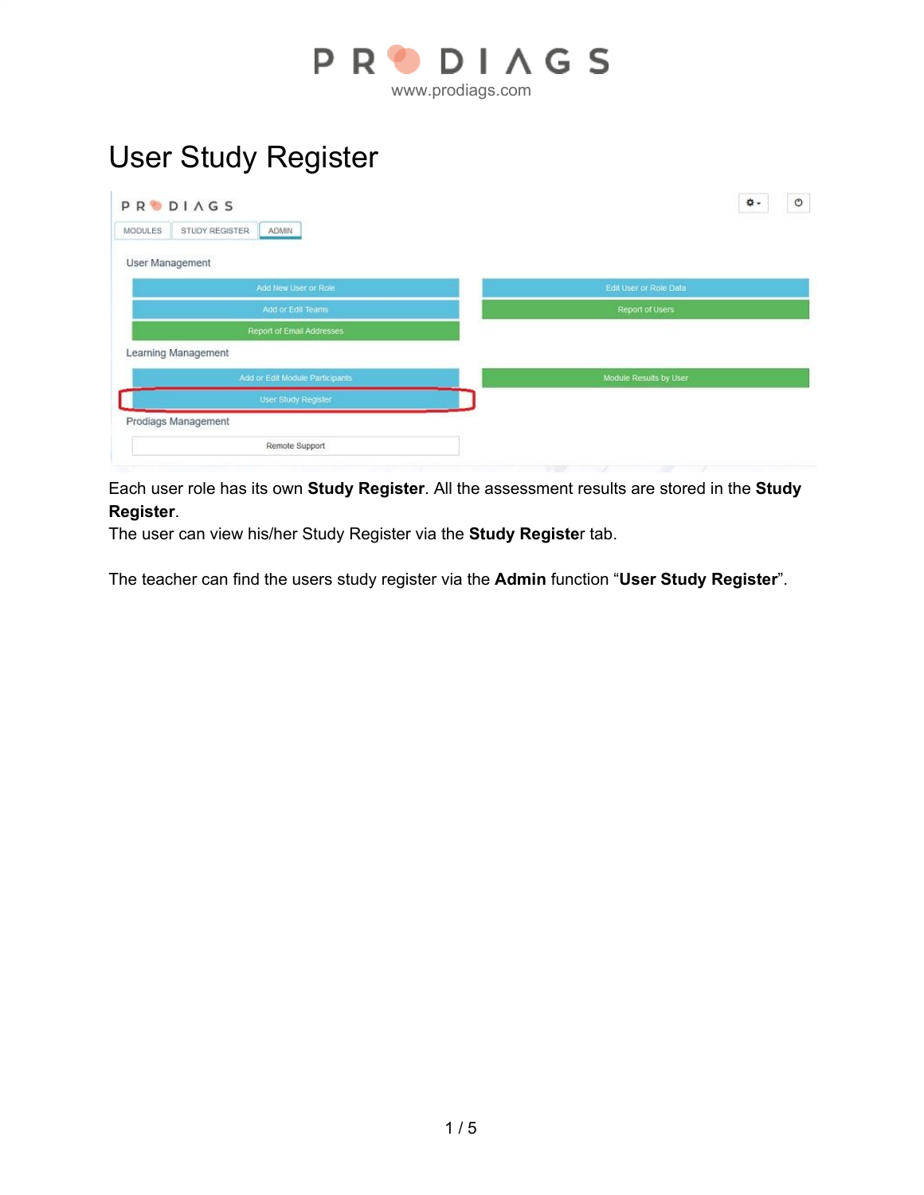

## User Study Register

| <b>PRODIAGS</b>                                  | $^\circledR$<br>٥.     |
|--------------------------------------------------|------------------------|
| STUDY REGISTER<br><b>MODULES</b><br><b>ADMIN</b> |                        |
| User Management                                  |                        |
| Add New User or Role                             | Edit User or Role Data |
| Add or Edit Teams                                | Report of Users        |
| Report of Email Addresses                        |                        |
| Learning Management                              |                        |
| Add or Edit Module Participants                  | Module Results by User |
| User Study Register                              |                        |
| Prodiags Management                              |                        |
| Remote Support                                   |                        |

Each user role has its own **Study Register**. All the assessment results are stored in the **Study Register**.

The user can view his/her Study Register via the **Study Registe**r tab.

The teacher can find the users study register via the **Admin** function "**User Study Register**".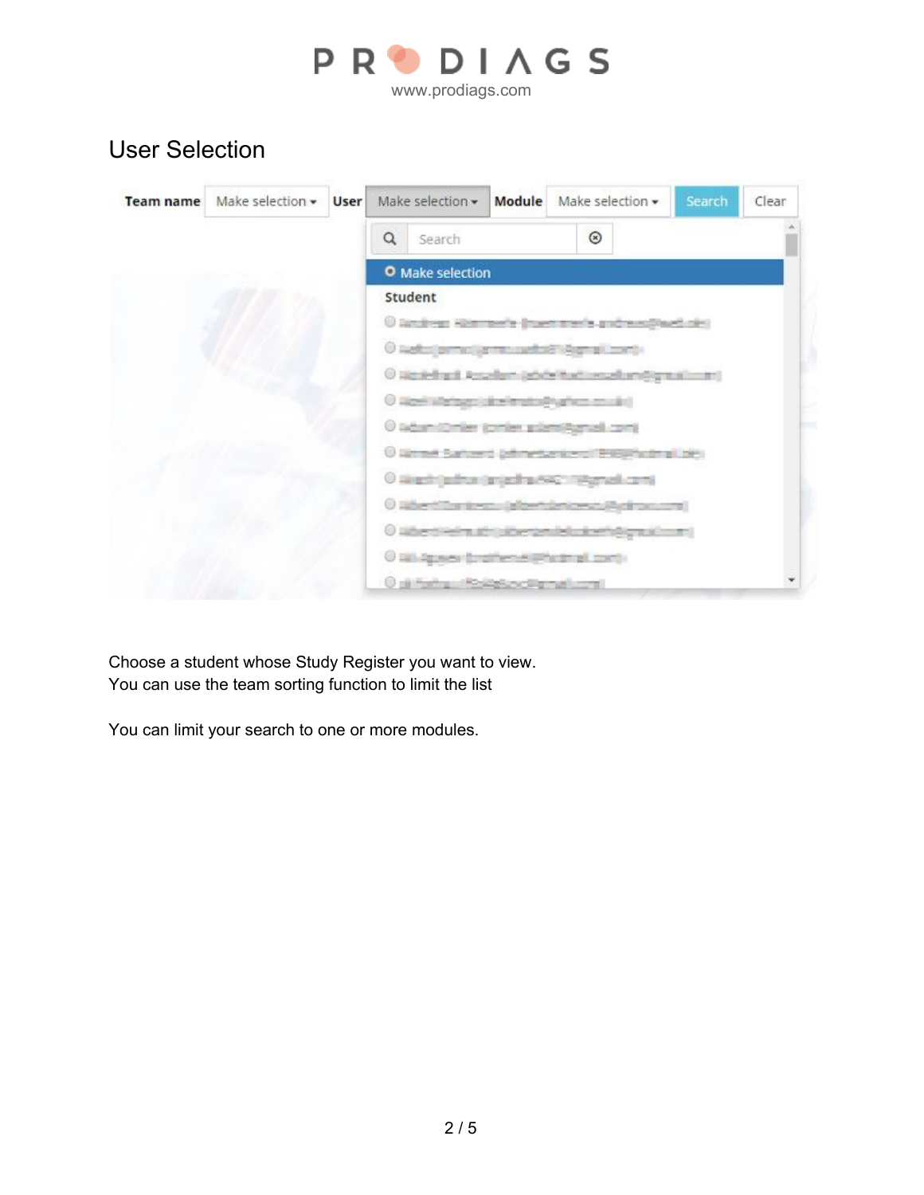

www.prodiags.com

## User Selection

| <b>Team name</b> | Make selection $\mathbf{v}$ User |          | Make selection •                                            | Module | Make selection $\star$ | Search | Clear |
|------------------|----------------------------------|----------|-------------------------------------------------------------|--------|------------------------|--------|-------|
|                  |                                  | $\alpha$ | Search                                                      |        | $\circledcirc$         |        |       |
|                  |                                  |          | O Make selection                                            |        |                        |        |       |
|                  |                                  |          | Student                                                     |        |                        |        |       |
|                  |                                  |          | O landress Hierman's Investments and meetings into          |        |                        |        |       |
|                  |                                  |          | O Netherlands of the website Agents made                    |        |                        |        |       |
|                  |                                  |          | @ Wastelhard, Assellant (advice Must Lessallant@graphismen) |        |                        |        |       |
|                  |                                  |          | O Work Watson Like Implicit Analysis on Will                |        |                        |        |       |
|                  |                                  |          | O lidsmithnier jorder pilentiforcel conti-                  |        |                        |        |       |
|                  |                                  |          | O Bismet Saturno (efimiescripero) ENERGIE all bisi-         |        |                        |        |       |
|                  |                                  |          | O skiasti (autrus (anjastra 642) (tjägnad com)              |        |                        |        |       |
|                  |                                  |          | 0 When The texture is benderices to Mark to come if         |        |                        |        |       |
|                  |                                  |          | 0 libertiefnutricherznielnismögnalmen                       |        |                        |        |       |
|                  |                                  |          | O 181-2g was for pillers with the truth-                    |        |                        |        |       |
|                  |                                  |          | <b>Children and School Control and State</b>                |        |                        |        |       |

Choose a student whose Study Register you want to view. You can use the team sorting function to limit the list

You can limit your search to one or more modules.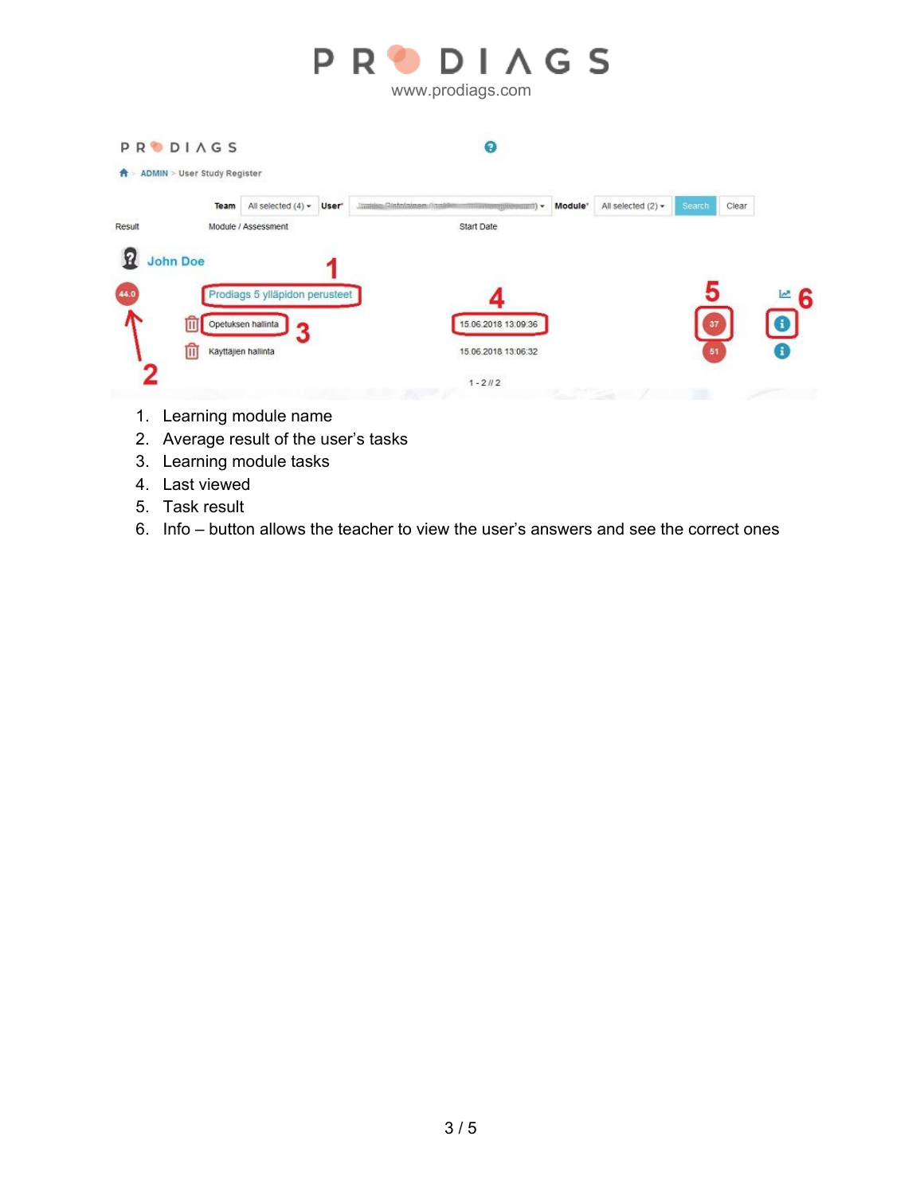

**PRODIAGS**  $\bullet$ ↑ ADMIN > User Study Register All selected (2)  $\star$ Clear Team All selected  $(4)$   $\star$  User Module" Chiedrotesimoan directions m. Result Module / Assessment Start Date **Q** John Doe Prodiags 5 ylläpidon perusteet Opetuksen hallinta 15.06.2018 13:09:36 面 3 血 Käyttäjien hallinta 15.06.2018 13:06:32  $1 - 21/2$ 

- 1. Learning module name
- 2. Average result of the user's tasks
- 3. Learning module tasks
- 4. Last viewed
- 5. Task result
- 6. Info button allows the teacher to view the user's answers and see the correct ones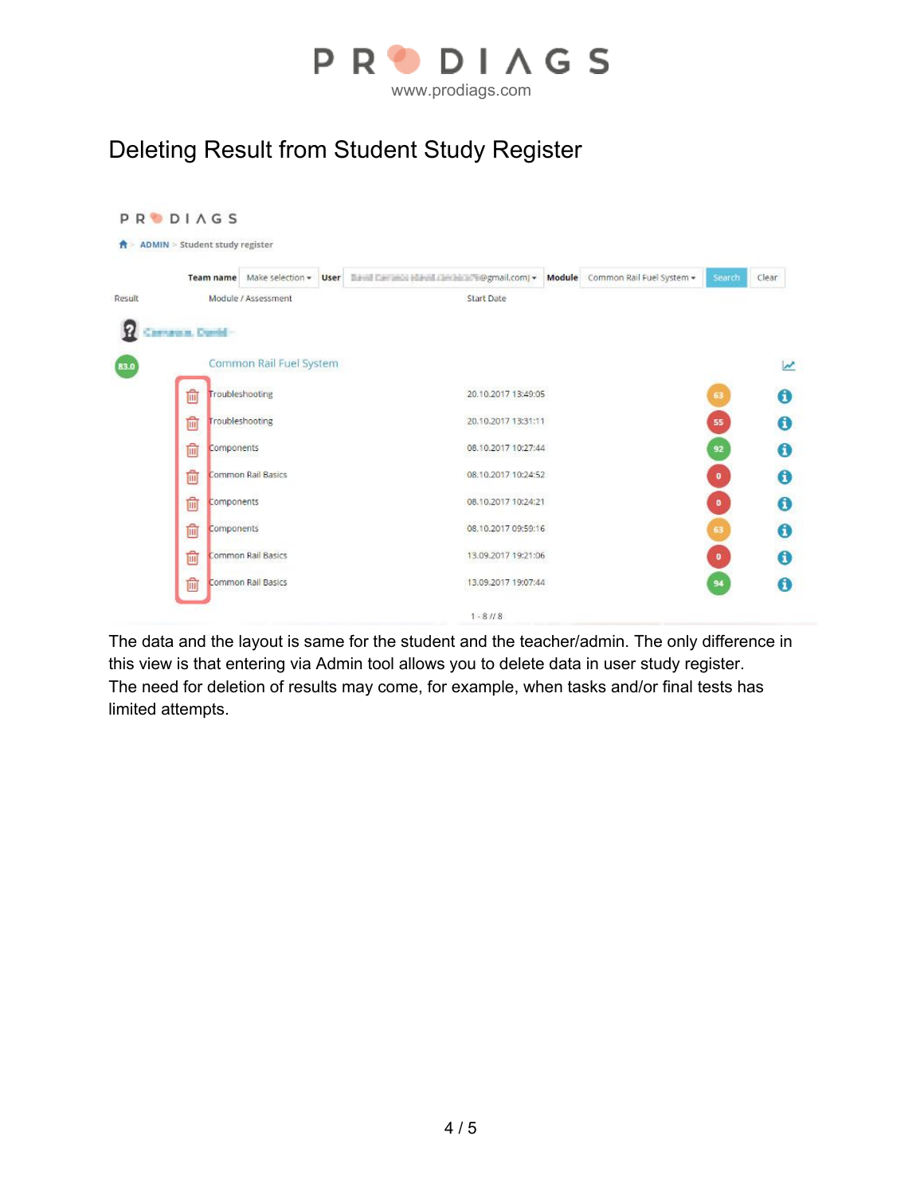

## Deleting Result from Student Study Register

|        |                   |            |                           |  |                     | Team name Make selection v User The Law and Edward Decket Tegmail.com v Module Common Rail Fuel System v | Search    | Clear |
|--------|-------------------|------------|---------------------------|--|---------------------|----------------------------------------------------------------------------------------------------------|-----------|-------|
| Result |                   |            | Module / Assessment       |  | <b>Start Date</b>   |                                                                                                          |           |       |
|        | Carnaton, David - |            |                           |  |                     |                                                                                                          |           |       |
|        |                   |            | Common Rail Fuel System   |  |                     |                                                                                                          |           |       |
|        | û                 |            | Troubleshooting           |  | 20.10.2017 13:49:05 |                                                                                                          | 63        |       |
|        | 勔                 |            | Troubleshooting           |  | 20.10.2017 13:31:11 |                                                                                                          | 55        |       |
|        | 圇                 | Components |                           |  | 08.10.2017 10:27:44 |                                                                                                          | 92        |       |
|        | û                 |            | <b>Common Rail Basics</b> |  | 08.10.2017 10:24:52 |                                                                                                          | $\bullet$ |       |
|        | Ŵ                 | Components |                           |  | 08.10.2017 10:24:21 |                                                                                                          | $\bullet$ |       |
|        | 圙                 | Components |                           |  | 08.10.2017 09:59:16 |                                                                                                          | 63        |       |
|        | û                 |            | Common Rail Basics        |  | 13.09.2017 19:21:06 |                                                                                                          | $\bullet$ |       |
|        | 圇                 |            | Common Rail Basics        |  | 13.09.2017 19:07:44 |                                                                                                          | 94        |       |

The data and the layout is same for the student and the teacher/admin. The only difference in this view is that entering via Admin tool allows you to delete data in user study register. The need for deletion of results may come, for example, when tasks and/or final tests has limited attempts.